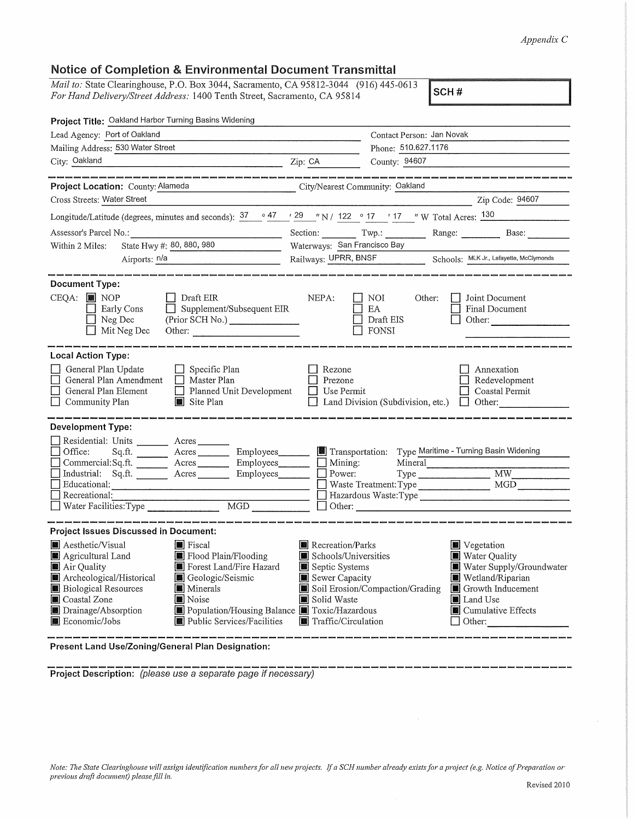## *Appendix* C

## Notice of Completion & Environmental Document Transmittal

*Mail to:* State Clearinghouse, P.O. Box 3044, Sacramento, CA 95812-3044 (916) 445-0613 *For Hand Delivery/Street Address:* 1400 Tenth Street, Sacramento, CA 95814 **SCH#** 

| Project Title: Oakland Harbor Turning Basins Widening                                                                                                                                                                                                                                                                                                                                |                                                                                                                                                   |                                                              |                                                                                                                                              |
|--------------------------------------------------------------------------------------------------------------------------------------------------------------------------------------------------------------------------------------------------------------------------------------------------------------------------------------------------------------------------------------|---------------------------------------------------------------------------------------------------------------------------------------------------|--------------------------------------------------------------|----------------------------------------------------------------------------------------------------------------------------------------------|
| Lead Agency: Port of Oakland                                                                                                                                                                                                                                                                                                                                                         | Contact Person: Jan Novak                                                                                                                         |                                                              |                                                                                                                                              |
| Mailing Address: 530 Water Street                                                                                                                                                                                                                                                                                                                                                    |                                                                                                                                                   | Phone: 510.627.1176                                          |                                                                                                                                              |
| City: Oakland<br>$\overline{Zip: CA}$                                                                                                                                                                                                                                                                                                                                                |                                                                                                                                                   | County: 94607                                                |                                                                                                                                              |
| .<br>Initial scales shown seems senior density provid street provid bound points point provid move seems beend bound<br>Project Location: County: Alameda<br>City/Nearest Community: Oakland                                                                                                                                                                                         |                                                                                                                                                   |                                                              | s some and some twen your point and the sense in the second profit and some twenty and the sense in the sense                                |
| Cross Streets: Water Street                                                                                                                                                                                                                                                                                                                                                          |                                                                                                                                                   | Zip Code: 94607                                              |                                                                                                                                              |
| Longitude/Latitude (degrees, minutes and seconds): $\frac{37}{12}$ $\frac{47}{12}$ $\frac{29}{12}$ N / $\frac{122}{12}$ $\frac{6}{17}$ $\frac{17}{12}$ W Total Acres: $\frac{130}{12}$                                                                                                                                                                                               |                                                                                                                                                   |                                                              |                                                                                                                                              |
| Assessor's Parcel No.:                                                                                                                                                                                                                                                                                                                                                               |                                                                                                                                                   | Section: Twp.: Range: Range: Base:                           |                                                                                                                                              |
| State Hwy #: 80, 880, 980<br>Within 2 Miles:                                                                                                                                                                                                                                                                                                                                         | Waterways: San Francisco Bay                                                                                                                      |                                                              |                                                                                                                                              |
| Airports: <u>n/a</u>                                                                                                                                                                                                                                                                                                                                                                 |                                                                                                                                                   | Railways: UPRR, BNSF Schools: MLK Jr., Lafayette, McClymonds |                                                                                                                                              |
|                                                                                                                                                                                                                                                                                                                                                                                      |                                                                                                                                                   |                                                              |                                                                                                                                              |
| <b>Document Type:</b><br>$CEQA:$ MOP<br>$\Box$ Draft EIR<br>$\Box$ Supplement/Subsequent EIR<br>Early Cons<br>$\Box$ Neg Dec<br>(Prior SCH No.)<br>$\Box$ Mit Neg Dec<br>Other:                                                                                                                                                                                                      | NEPA:                                                                                                                                             | I NOI<br>Other:<br>EA<br>Draft EIS<br>FONSI                  | □ Joint Document<br>Final Document<br>$\Box$ Other:                                                                                          |
| <b>Local Action Type:</b>                                                                                                                                                                                                                                                                                                                                                            |                                                                                                                                                   |                                                              |                                                                                                                                              |
| $\Box$ Specific Plan<br>General Plan Update<br>General Plan Amendment   Master Plan<br>General Plan Element<br>Planned Unit Development<br>Site Plan<br>Community Plan                                                                                                                                                                                                               | Rezone<br>Annexation<br>Prezone<br>Redevelopment<br>$\Box$ Use Permit<br>Coastal Permit<br>$\Box$ Land Division (Subdivision, etc.) $\Box$ Other: |                                                              |                                                                                                                                              |
| <b>Development Type:</b><br>Residential: Units _________ Acres _______<br>Sq.ft. ________ Acres _________ Employees________ Enfransportation: Type Maritime - Turning Basin Widening<br>Office:<br>Commercial:Sq.ft. Acres Employees Mining:<br>Industrial: Sq.ft. _______ Acres ________ Employees _______ __ Power:<br>$\Box$ Waste Treatment: Type $\Box$ MGD MGD<br>Educational: |                                                                                                                                                   | Mineral                                                      | Type MW MW                                                                                                                                   |
|                                                                                                                                                                                                                                                                                                                                                                                      |                                                                                                                                                   |                                                              |                                                                                                                                              |
| <b>Project Issues Discussed in Document:</b>                                                                                                                                                                                                                                                                                                                                         |                                                                                                                                                   |                                                              |                                                                                                                                              |
| <b>■</b> Aesthetic/Visual<br>Fiscal<br>Flood Plain/Flooding<br>Agricultural Land<br>Forest Land/Fire Hazard<br>Air Quality<br>Archeological/Historical<br>Geologic/Seismic<br><b>Biological Resources</b><br>Minerals<br>Coastal Zone<br>Noise<br>Drainage/Absorption<br>Population/Housing Balance Toxic/Hazardous<br><b>圖</b> Economic/Jobs<br><b>E</b> Public Services/Facilities | Recreation/Parks<br>Schools/Universities<br>Septic Systems<br>Sewer Capacity<br>Solid Waste<br>Traffic/Circulation                                | Soil Erosion/Compaction/Grading Growth Inducement            | <b>W</b> Vegetation<br>Water Quality<br>Water Supply/Groundwater<br>Wetland/Riparian<br>■ Land Use<br> ■ Cumulative Effects<br>$\Box$ Other: |

**Present Land Use/Zoning/General Plan Designation:** 

-------------------------------------------------------------- **Project Description:** (please use a separate page if necessary)